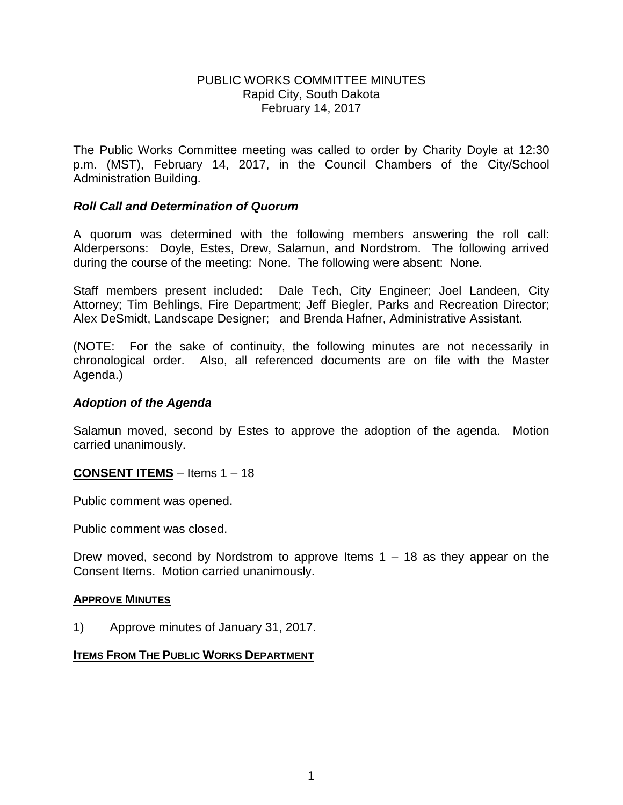### PUBLIC WORKS COMMITTEE MINUTES Rapid City, South Dakota February 14, 2017

The Public Works Committee meeting was called to order by Charity Doyle at 12:30 p.m. (MST), February 14, 2017, in the Council Chambers of the City/School Administration Building.

## *Roll Call and Determination of Quorum*

A quorum was determined with the following members answering the roll call: Alderpersons: Doyle, Estes, Drew, Salamun, and Nordstrom. The following arrived during the course of the meeting: None. The following were absent: None.

Staff members present included: Dale Tech, City Engineer; Joel Landeen, City Attorney; Tim Behlings, Fire Department; Jeff Biegler, Parks and Recreation Director; Alex DeSmidt, Landscape Designer; and Brenda Hafner, Administrative Assistant.

(NOTE: For the sake of continuity, the following minutes are not necessarily in chronological order. Also, all referenced documents are on file with the Master Agenda.)

### *Adoption of the Agenda*

Salamun moved, second by Estes to approve the adoption of the agenda. Motion carried unanimously.

**CONSENT ITEMS** – Items 1 – 18

Public comment was opened.

Public comment was closed.

Drew moved, second by Nordstrom to approve Items  $1 - 18$  as they appear on the Consent Items. Motion carried unanimously.

#### **APPROVE MINUTES**

1) Approve minutes of January 31, 2017.

#### **ITEMS FROM THE PUBLIC WORKS DEPARTMENT**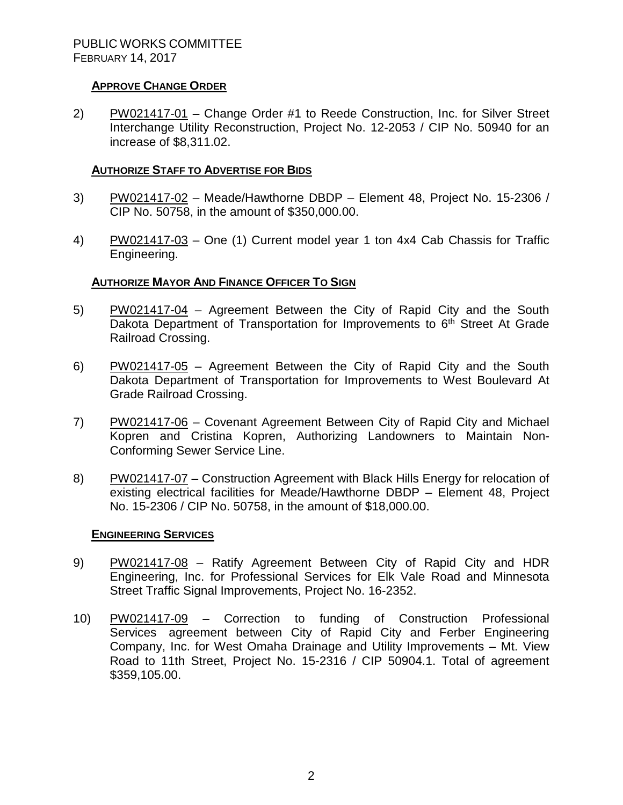### **APPROVE CHANGE ORDER**

2) PW021417-01 – Change Order #1 to Reede Construction, Inc. for Silver Street Interchange Utility Reconstruction, Project No. 12-2053 / CIP No. 50940 for an increase of \$8,311.02.

## **AUTHORIZE STAFF TO ADVERTISE FOR BIDS**

- 3) PW021417-02 Meade/Hawthorne DBDP Element 48, Project No. 15-2306 / CIP No. 50758, in the amount of \$350,000.00.
- 4) PW021417-03 One (1) Current model year 1 ton 4x4 Cab Chassis for Traffic Engineering.

### **AUTHORIZE MAYOR AND FINANCE OFFICER TO SIGN**

- 5) PW021417-04 Agreement Between the City of Rapid City and the South Dakota Department of Transportation for Improvements to 6<sup>th</sup> Street At Grade Railroad Crossing.
- 6) PW021417-05 Agreement Between the City of Rapid City and the South Dakota Department of Transportation for Improvements to West Boulevard At Grade Railroad Crossing.
- 7) PW021417-06 Covenant Agreement Between City of Rapid City and Michael Kopren and Cristina Kopren, Authorizing Landowners to Maintain Non-Conforming Sewer Service Line.
- 8) PW021417-07 Construction Agreement with Black Hills Energy for relocation of existing electrical facilities for Meade/Hawthorne DBDP – Element 48, Project No. 15-2306 / CIP No. 50758, in the amount of \$18,000.00.

#### **ENGINEERING SERVICES**

- 9) PW021417-08 Ratify Agreement Between City of Rapid City and HDR Engineering, Inc. for Professional Services for Elk Vale Road and Minnesota Street Traffic Signal Improvements, Project No. 16-2352.
- 10) PW021417-09 Correction to funding of Construction Professional Services agreement between City of Rapid City and Ferber Engineering Company, Inc. for West Omaha Drainage and Utility Improvements – Mt. View Road to 11th Street, Project No. 15-2316 / CIP 50904.1. Total of agreement \$359,105.00.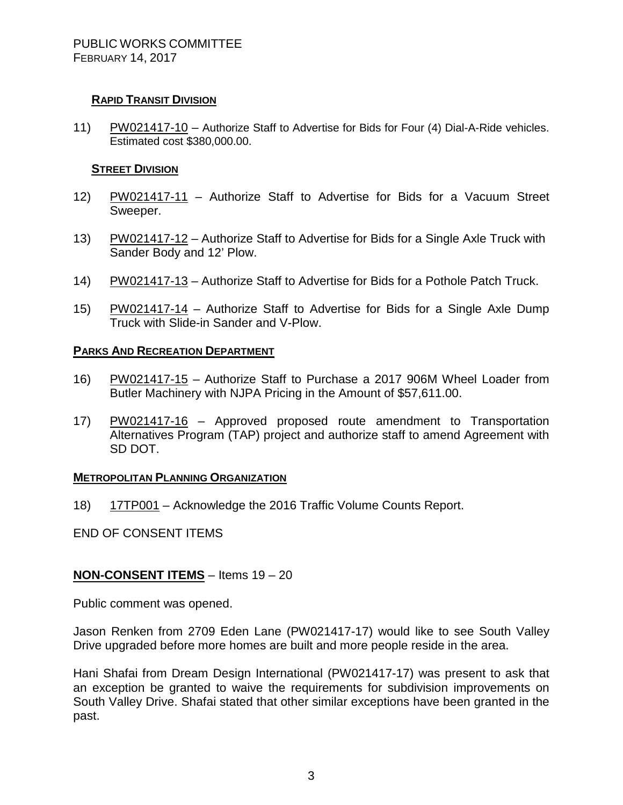# **RAPID TRANSIT DIVISION**

11) PW021417-10 – Authorize Staff to Advertise for Bids for Four (4) Dial-A-Ride vehicles. Estimated cost \$380,000.00.

## **STREET DIVISION**

- 12) PW021417-11 Authorize Staff to Advertise for Bids for a Vacuum Street Sweeper.
- 13) PW021417-12 Authorize Staff to Advertise for Bids for a Single Axle Truck with Sander Body and 12' Plow.
- 14) PW021417-13 Authorize Staff to Advertise for Bids for a Pothole Patch Truck.
- 15) PW021417-14 Authorize Staff to Advertise for Bids for a Single Axle Dump Truck with Slide-in Sander and V-Plow.

# **PARKS AND RECREATION DEPARTMENT**

- 16) PW021417-15 Authorize Staff to Purchase a 2017 906M Wheel Loader from Butler Machinery with NJPA Pricing in the Amount of \$57,611.00.
- 17) PW021417-16 Approved proposed route amendment to Transportation Alternatives Program (TAP) project and authorize staff to amend Agreement with SD DOT.

# **METROPOLITAN PLANNING ORGANIZATION**

18) 17TP001 – Acknowledge the 2016 Traffic Volume Counts Report.

END OF CONSENT ITEMS

# **NON-CONSENT ITEMS** – Items 19 – 20

Public comment was opened.

Jason Renken from 2709 Eden Lane (PW021417-17) would like to see South Valley Drive upgraded before more homes are built and more people reside in the area.

Hani Shafai from Dream Design International (PW021417-17) was present to ask that an exception be granted to waive the requirements for subdivision improvements on South Valley Drive. Shafai stated that other similar exceptions have been granted in the past.